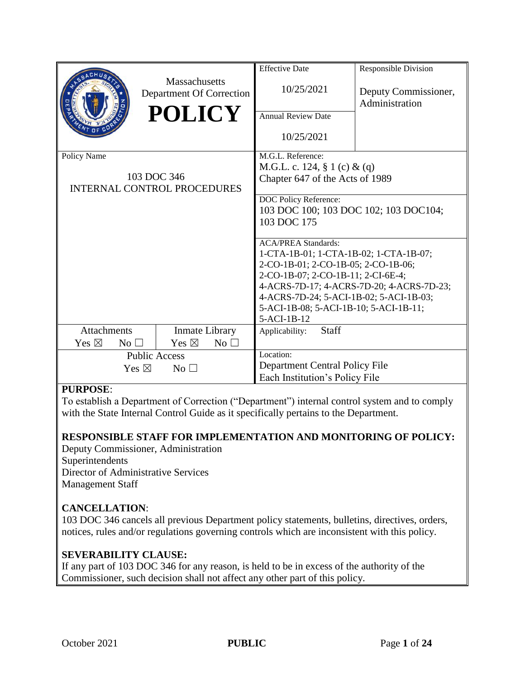|                                                            |                                           | <b>Effective Date</b>                                                                | <b>Responsible Division</b>            |
|------------------------------------------------------------|-------------------------------------------|--------------------------------------------------------------------------------------|----------------------------------------|
|                                                            | Massachusetts<br>Department Of Correction | 10/25/2021                                                                           | Deputy Commissioner,<br>Administration |
|                                                            | <b>POLICY</b>                             | <b>Annual Review Date</b>                                                            |                                        |
|                                                            |                                           | 10/25/2021                                                                           |                                        |
| Policy Name                                                |                                           | M.G.L. Reference:                                                                    |                                        |
|                                                            |                                           | M.G.L. c. 124, § 1 (c) & (q)                                                         |                                        |
| 103 DOC 346<br><b>INTERNAL CONTROL PROCEDURES</b>          |                                           | Chapter 647 of the Acts of 1989                                                      |                                        |
|                                                            |                                           | DOC Policy Reference:                                                                |                                        |
|                                                            |                                           | 103 DOC 100; 103 DOC 102; 103 DOC104;                                                |                                        |
|                                                            |                                           | 103 DOC 175                                                                          |                                        |
|                                                            |                                           |                                                                                      |                                        |
|                                                            |                                           | <b>ACA/PREA Standards:</b>                                                           |                                        |
|                                                            |                                           | 1-CTA-1B-01; 1-CTA-1B-02; 1-CTA-1B-07;                                               |                                        |
|                                                            |                                           | 2-CO-1B-01; 2-CO-1B-05; 2-CO-1B-06;                                                  |                                        |
|                                                            |                                           | 2-CO-1B-07; 2-CO-1B-11; 2-CI-6E-4;                                                   |                                        |
|                                                            |                                           | 4-ACRS-7D-17; 4-ACRS-7D-20; 4-ACRS-7D-23;<br>4-ACRS-7D-24; 5-ACI-1B-02; 5-ACI-1B-03; |                                        |
|                                                            |                                           | 5-ACI-1B-08; 5-ACI-1B-10; 5-ACI-1B-11;                                               |                                        |
|                                                            |                                           | $5-ACI-1B-12$                                                                        |                                        |
| <b>Attachments</b>                                         | Inmate Library                            | <b>Staff</b><br>Applicability:                                                       |                                        |
| Yes $\boxtimes$<br>No <sub>1</sub>                         | Yes $\boxtimes$<br>No $\square$           |                                                                                      |                                        |
|                                                            |                                           | Location:                                                                            |                                        |
| <b>Public Access</b><br>Yes $\boxtimes$<br>No <sub>1</sub> |                                           | Department Central Policy File                                                       |                                        |
|                                                            |                                           | Each Institution's Policy File                                                       |                                        |
|                                                            |                                           |                                                                                      |                                        |

# **PURPOSE**:

To establish a Department of Correction ("Department") internal control system and to comply with the State Internal Control Guide as it specifically pertains to the Department.

# **RESPONSIBLE STAFF FOR IMPLEMENTATION AND MONITORING OF POLICY:**

Deputy Commissioner, Administration Superintendents Director of Administrative Services Management Staff

# **CANCELLATION**:

103 DOC 346 cancels all previous Department policy statements, bulletins, directives, orders, notices, rules and/or regulations governing controls which are inconsistent with this policy.

# **SEVERABILITY CLAUSE:**

If any part of 103 DOC 346 for any reason, is held to be in excess of the authority of the Commissioner, such decision shall not affect any other part of this policy.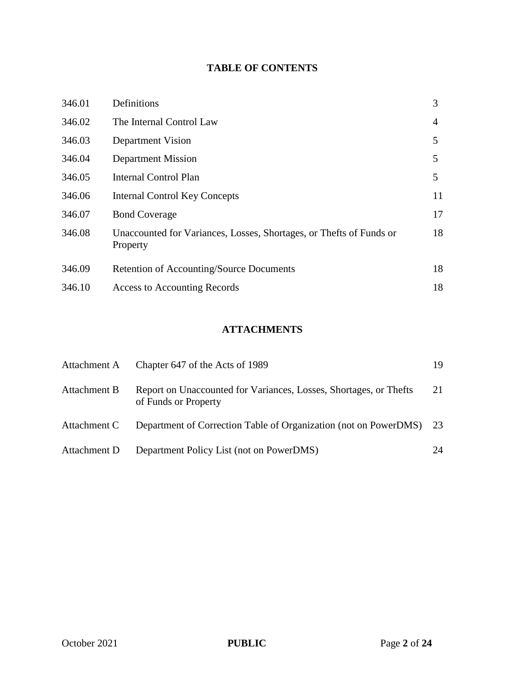# **TABLE OF CONTENTS**

| 346.01 | Definitions                                                                     | 3  |
|--------|---------------------------------------------------------------------------------|----|
| 346.02 | The Internal Control Law                                                        | 4  |
| 346.03 | Department Vision                                                               | 5  |
| 346.04 | Department Mission                                                              | 5  |
| 346.05 | Internal Control Plan                                                           | 5  |
| 346.06 | <b>Internal Control Key Concepts</b>                                            | 11 |
| 346.07 | <b>Bond Coverage</b>                                                            | 17 |
| 346.08 | Unaccounted for Variances, Losses, Shortages, or Thefts of Funds or<br>Property | 18 |
| 346.09 | Retention of Accounting/Source Documents                                        | 18 |
| 346.10 | Access to Accounting Records                                                    | 18 |

# **ATTACHMENTS**

| Attachment A | Chapter 647 of the Acts of 1989                                                           | 19 |
|--------------|-------------------------------------------------------------------------------------------|----|
| Attachment B | Report on Unaccounted for Variances, Losses, Shortages, or Thefts<br>of Funds or Property | 21 |
| Attachment C | Department of Correction Table of Organization (not on PowerDMS) 23                       |    |
| Attachment D | Department Policy List (not on PowerDMS)                                                  | 24 |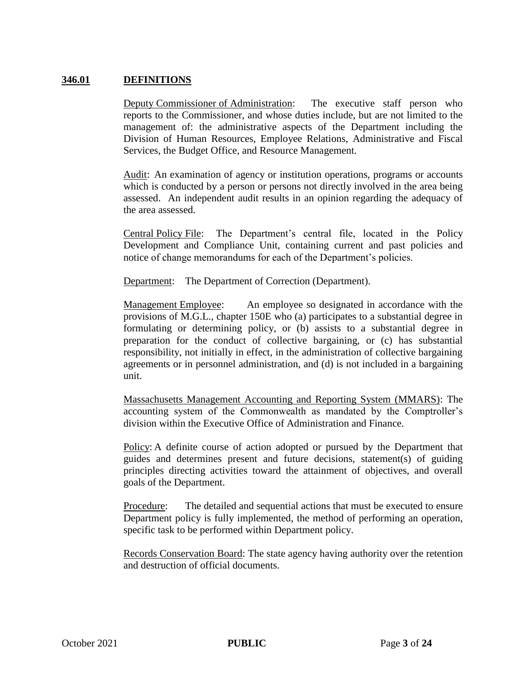### **346.01 DEFINITIONS**

Deputy Commissioner of Administration: The executive staff person who reports to the Commissioner, and whose duties include, but are not limited to the management of: the administrative aspects of the Department including the Division of Human Resources, Employee Relations, Administrative and Fiscal Services, the Budget Office, and Resource Management.

Audit: An examination of agency or institution operations, programs or accounts which is conducted by a person or persons not directly involved in the area being assessed. An independent audit results in an opinion regarding the adequacy of the area assessed.

Central Policy File: The Department's central file, located in the Policy Development and Compliance Unit, containing current and past policies and notice of change memorandums for each of the Department's policies.

Department: The Department of Correction (Department).

Management Employee: An employee so designated in accordance with the provisions of M.G.L., chapter 150E who (a) participates to a substantial degree in formulating or determining policy, or (b) assists to a substantial degree in preparation for the conduct of collective bargaining, or (c) has substantial responsibility, not initially in effect, in the administration of collective bargaining agreements or in personnel administration, and (d) is not included in a bargaining unit.

Massachusetts Management Accounting and Reporting System (MMARS): The accounting system of the Commonwealth as mandated by the Comptroller's division within the Executive Office of Administration and Finance.

Policy: A definite course of action adopted or pursued by the Department that guides and determines present and future decisions, statement(s) of guiding principles directing activities toward the attainment of objectives, and overall goals of the Department.

Procedure: The detailed and sequential actions that must be executed to ensure Department policy is fully implemented, the method of performing an operation, specific task to be performed within Department policy.

Records Conservation Board: The state agency having authority over the retention and destruction of official documents.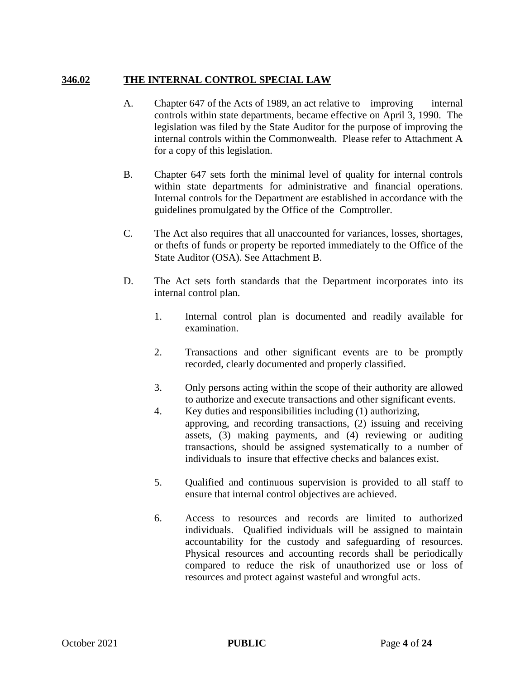# **346.02 THE INTERNAL CONTROL SPECIAL LAW**

- A. Chapter 647 of the Acts of 1989, an act relative to improving internal controls within state departments, became effective on April 3, 1990. The legislation was filed by the State Auditor for the purpose of improving the internal controls within the Commonwealth. Please refer to Attachment A for a copy of this legislation.
- B. Chapter 647 sets forth the minimal level of quality for internal controls within state departments for administrative and financial operations. Internal controls for the Department are established in accordance with the guidelines promulgated by the Office of the Comptroller.
- C. The Act also requires that all unaccounted for variances, losses, shortages, or thefts of funds or property be reported immediately to the Office of the State Auditor (OSA). See Attachment B.
- D. The Act sets forth standards that the Department incorporates into its internal control plan.
	- 1. Internal control plan is documented and readily available for examination.
	- 2. Transactions and other significant events are to be promptly recorded, clearly documented and properly classified.
	- 3. Only persons acting within the scope of their authority are allowed to authorize and execute transactions and other significant events.
	- 4. Key duties and responsibilities including (1) authorizing, approving, and recording transactions, (2) issuing and receiving assets, (3) making payments, and (4) reviewing or auditing transactions, should be assigned systematically to a number of individuals to insure that effective checks and balances exist.
	- 5. Qualified and continuous supervision is provided to all staff to ensure that internal control objectives are achieved.
	- 6. Access to resources and records are limited to authorized individuals. Qualified individuals will be assigned to maintain accountability for the custody and safeguarding of resources. Physical resources and accounting records shall be periodically compared to reduce the risk of unauthorized use or loss of resources and protect against wasteful and wrongful acts.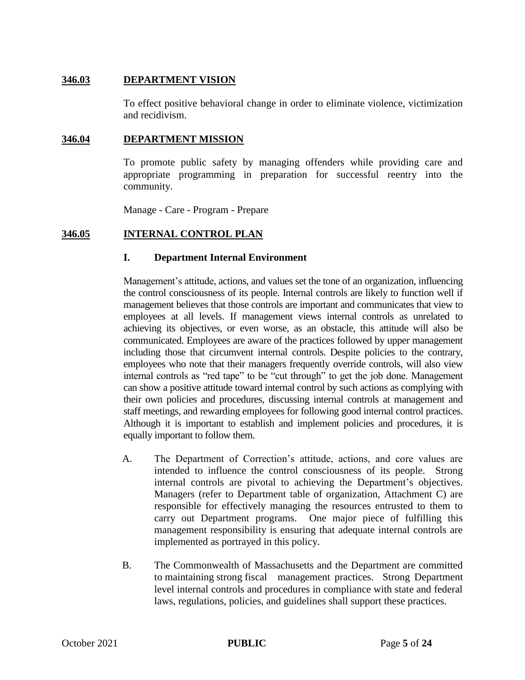## **346.03 DEPARTMENT VISION**

To effect positive behavioral change in order to eliminate violence, victimization and recidivism.

#### **346.04 DEPARTMENT MISSION**

To promote public safety by managing offenders while providing care and appropriate programming in preparation for successful reentry into the community.

Manage - Care - Program - Prepare

### **346.05 INTERNAL CONTROL PLAN**

#### **I. Department Internal Environment**

Management's attitude, actions, and values set the tone of an organization, influencing the control consciousness of its people. Internal controls are likely to function well if management believes that those controls are important and communicates that view to employees at all levels. If management views internal controls as unrelated to achieving its objectives, or even worse, as an obstacle, this attitude will also be communicated. Employees are aware of the practices followed by upper management including those that circumvent internal controls. Despite policies to the contrary, employees who note that their managers frequently override controls, will also view internal controls as "red tape" to be "cut through" to get the job done. Management can show a positive attitude toward internal control by such actions as complying with their own policies and procedures, discussing internal controls at management and staff meetings, and rewarding employees for following good internal control practices. Although it is important to establish and implement policies and procedures, it is equally important to follow them.

- A. The Department of Correction's attitude, actions, and core values are intended to influence the control consciousness of its people. Strong internal controls are pivotal to achieving the Department's objectives. Managers (refer to Department table of organization, Attachment C) are responsible for effectively managing the resources entrusted to them to carry out Department programs. One major piece of fulfilling this management responsibility is ensuring that adequate internal controls are implemented as portrayed in this policy.
- B. The Commonwealth of Massachusetts and the Department are committed to maintaining strong fiscal management practices. Strong Department level internal controls and procedures in compliance with state and federal laws, regulations, policies, and guidelines shall support these practices.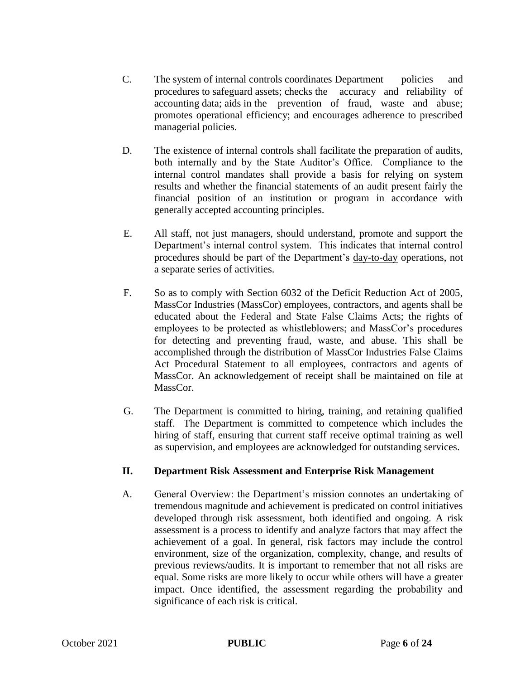- C. The system of internal controls coordinates Department policies and procedures to safeguard assets; checks the accuracy and reliability of accounting data; aids in the prevention of fraud, waste and abuse; promotes operational efficiency; and encourages adherence to prescribed managerial policies.
- D. The existence of internal controls shall facilitate the preparation of audits, both internally and by the State Auditor's Office. Compliance to the internal control mandates shall provide a basis for relying on system results and whether the financial statements of an audit present fairly the financial position of an institution or program in accordance with generally accepted accounting principles.
- E. All staff, not just managers, should understand, promote and support the Department's internal control system. This indicates that internal control procedures should be part of the Department's day-to-day operations, not a separate series of activities.
- F. So as to comply with Section 6032 of the Deficit Reduction Act of 2005, MassCor Industries (MassCor) employees, contractors, and agents shall be educated about the Federal and State False Claims Acts; the rights of employees to be protected as whistleblowers; and MassCor's procedures for detecting and preventing fraud, waste, and abuse. This shall be accomplished through the distribution of MassCor Industries False Claims Act Procedural Statement to all employees, contractors and agents of MassCor. An acknowledgement of receipt shall be maintained on file at MassCor.
- G. The Department is committed to hiring, training, and retaining qualified staff. The Department is committed to competence which includes the hiring of staff, ensuring that current staff receive optimal training as well as supervision, and employees are acknowledged for outstanding services.

# **II. Department Risk Assessment and Enterprise Risk Management**

A. General Overview: the Department's mission connotes an undertaking of tremendous magnitude and achievement is predicated on control initiatives developed through risk assessment, both identified and ongoing. A risk assessment is a process to identify and analyze factors that may affect the achievement of a goal. In general, risk factors may include the control environment, size of the organization, complexity, change, and results of previous reviews/audits. It is important to remember that not all risks are equal. Some risks are more likely to occur while others will have a greater impact. Once identified, the assessment regarding the probability and significance of each risk is critical.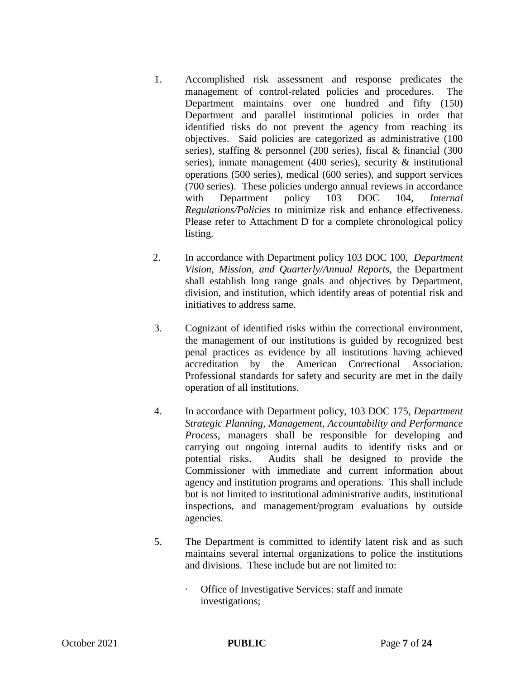- 1. Accomplished risk assessment and response predicates the management of control-related policies and procedures. The Department maintains over one hundred and fifty (150) Department and parallel institutional policies in order that identified risks do not prevent the agency from reaching its objectives. Said policies are categorized as administrative (100 series), staffing & personnel (200 series), fiscal & financial (300 series), inmate management (400 series), security & institutional operations (500 series), medical (600 series), and support services (700 series). These policies undergo annual reviews in accordance with Department policy 103 DOC 104, *Internal Regulations/Policies* to minimize risk and enhance effectiveness. Please refer to Attachment D for a complete chronological policy listing.
- 2. In accordance with Department policy 103 DOC 100, *Department Vision, Mission, and Quarterly/Annual Reports*, the Department shall establish long range goals and objectives by Department, division, and institution, which identify areas of potential risk and initiatives to address same.
- 3. Cognizant of identified risks within the correctional environment, the management of our institutions is guided by recognized best penal practices as evidence by all institutions having achieved accreditation by the American Correctional Association. Professional standards for safety and security are met in the daily operation of all institutions.
- 4. In accordance with Department policy, 103 DOC 175, *Department Strategic Planning, Management, Accountability and Performance Process*, managers shall be responsible for developing and carrying out ongoing internal audits to identify risks and or potential risks. Audits shall be designed to provide the Commissioner with immediate and current information about agency and institution programs and operations. This shall include but is not limited to institutional administrative audits, institutional inspections, and management/program evaluations by outside agencies.
- 5. The Department is committed to identify latent risk and as such maintains several internal organizations to police the institutions and divisions. These include but are not limited to:
	- ∙ Office of Investigative Services: staff and inmate investigations;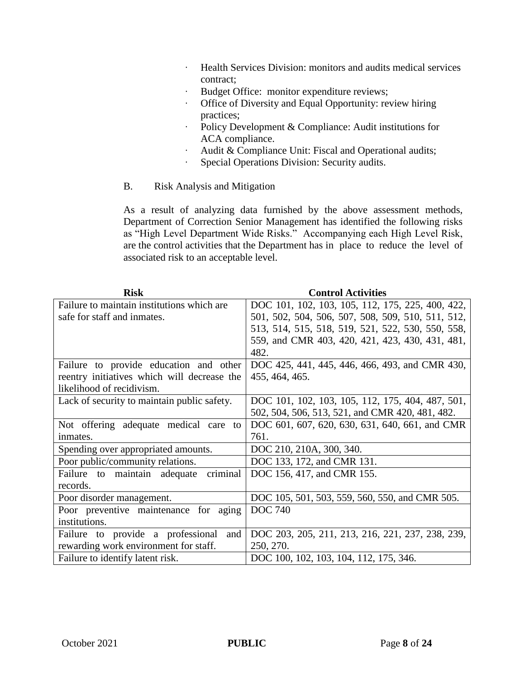- ∙ Health Services Division: monitors and audits medical services contract;
- ∙ Budget Office: monitor expenditure reviews;
- ∙ Office of Diversity and Equal Opportunity: review hiring practices;
- ∙ Policy Development & Compliance: Audit institutions for ACA compliance.
- ∙ Audit & Compliance Unit: Fiscal and Operational audits;
- ∙ Special Operations Division: Security audits.
- B. Risk Analysis and Mitigation

As a result of analyzing data furnished by the above assessment methods, Department of Correction Senior Management has identified the following risks as "High Level Department Wide Risks." Accompanying each High Level Risk, are the control activities that the Department has in place to reduce the level of associated risk to an acceptable level.

| <b>Risk</b>                                 | <b>Control Activities</b>                         |  |  |
|---------------------------------------------|---------------------------------------------------|--|--|
| Failure to maintain institutions which are  | DOC 101, 102, 103, 105, 112, 175, 225, 400, 422,  |  |  |
| safe for staff and inmates.                 | 501, 502, 504, 506, 507, 508, 509, 510, 511, 512, |  |  |
|                                             | 513, 514, 515, 518, 519, 521, 522, 530, 550, 558, |  |  |
|                                             | 559, and CMR 403, 420, 421, 423, 430, 431, 481,   |  |  |
|                                             | 482.                                              |  |  |
| Failure to provide education and other      | DOC 425, 441, 445, 446, 466, 493, and CMR 430,    |  |  |
| reentry initiatives which will decrease the | 455, 464, 465.                                    |  |  |
| likelihood of recidivism.                   |                                                   |  |  |
| Lack of security to maintain public safety. | DOC 101, 102, 103, 105, 112, 175, 404, 487, 501,  |  |  |
|                                             | 502, 504, 506, 513, 521, and CMR 420, 481, 482.   |  |  |
| Not offering adequate medical care<br>to    | DOC 601, 607, 620, 630, 631, 640, 661, and CMR    |  |  |
| inmates.                                    | 761.                                              |  |  |
| Spending over appropriated amounts.         | DOC 210, 210A, 300, 340.                          |  |  |
| Poor public/community relations.            | DOC 133, 172, and CMR 131.                        |  |  |
| criminal<br>Failure to maintain adequate    | DOC 156, 417, and CMR 155.                        |  |  |
| records.                                    |                                                   |  |  |
| Poor disorder management.                   | DOC 105, 501, 503, 559, 560, 550, and CMR 505.    |  |  |
| Poor preventive maintenance for aging       | <b>DOC</b> 740                                    |  |  |
| institutions.                               |                                                   |  |  |
| Failure to provide a professional<br>and    | DOC 203, 205, 211, 213, 216, 221, 237, 238, 239,  |  |  |
| rewarding work environment for staff.       | 250, 270.                                         |  |  |
| Failure to identify latent risk.            | DOC 100, 102, 103, 104, 112, 175, 346.            |  |  |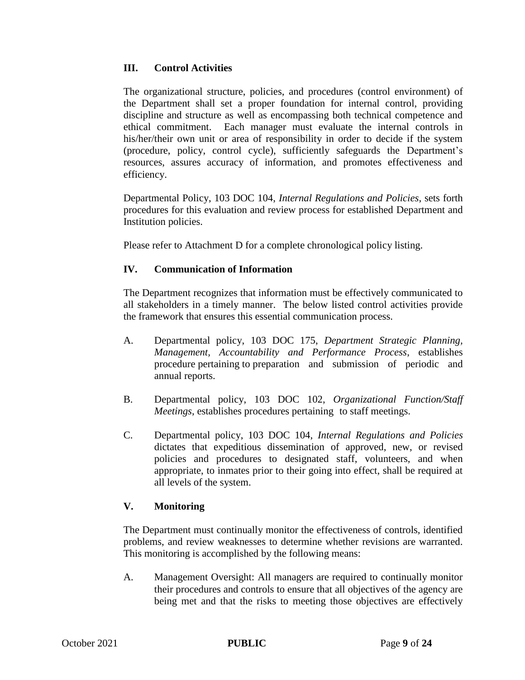# **III. Control Activities**

The organizational structure, policies, and procedures (control environment) of the Department shall set a proper foundation for internal control, providing discipline and structure as well as encompassing both technical competence and ethical commitment. Each manager must evaluate the internal controls in his/her/their own unit or area of responsibility in order to decide if the system (procedure, policy, control cycle), sufficiently safeguards the Department's resources, assures accuracy of information, and promotes effectiveness and efficiency.

Departmental Policy, 103 DOC 104, *Internal Regulations and Policies*, sets forth procedures for this evaluation and review process for established Department and Institution policies.

Please refer to Attachment D for a complete chronological policy listing.

# **IV. Communication of Information**

The Department recognizes that information must be effectively communicated to all stakeholders in a timely manner. The below listed control activities provide the framework that ensures this essential communication process.

- A. Departmental policy, 103 DOC 175, *Department Strategic Planning, Management, Accountability and Performance Process*, establishes procedure pertaining to preparation and submission of periodic and annual reports.
- B. Departmental policy, 103 DOC 102, *Organizational Function/Staff Meetings*, establishes procedures pertaining to staff meetings.
- C. Departmental policy, 103 DOC 104, *Internal Regulations and Policies* dictates that expeditious dissemination of approved, new, or revised policies and procedures to designated staff, volunteers, and when appropriate, to inmates prior to their going into effect, shall be required at all levels of the system.

# **V. Monitoring**

The Department must continually monitor the effectiveness of controls, identified problems, and review weaknesses to determine whether revisions are warranted. This monitoring is accomplished by the following means:

A. Management Oversight: All managers are required to continually monitor their procedures and controls to ensure that all objectives of the agency are being met and that the risks to meeting those objectives are effectively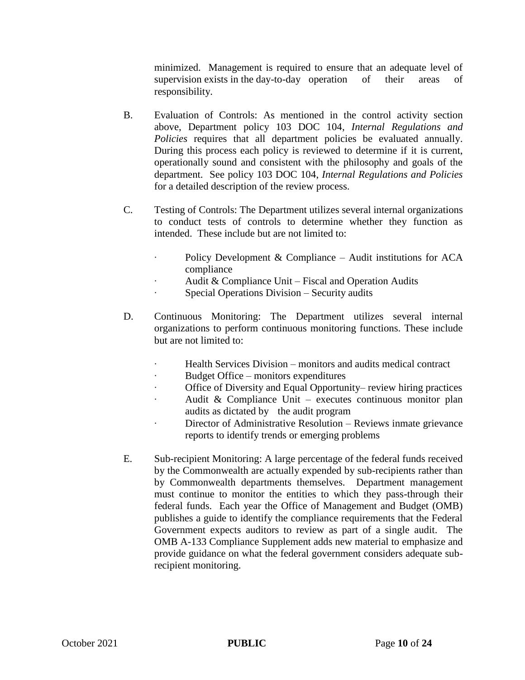minimized. Management is required to ensure that an adequate level of supervision exists in the day-to-day operation of their areas of responsibility.

- B. Evaluation of Controls: As mentioned in the control activity section above, Department policy 103 DOC 104, *Internal Regulations and Policies* requires that all department policies be evaluated annually. During this process each policy is reviewed to determine if it is current, operationally sound and consistent with the philosophy and goals of the department. See policy 103 DOC 104, *Internal Regulations and Policies* for a detailed description of the review process.
- C. Testing of Controls: The Department utilizes several internal organizations to conduct tests of controls to determine whether they function as intended. These include but are not limited to:
	- Policy Development & Compliance Audit institutions for ACA compliance
	- ∙ Audit & Compliance Unit Fiscal and Operation Audits
	- ∙ Special Operations Division Security audits
- D. Continuous Monitoring: The Department utilizes several internal organizations to perform continuous monitoring functions. These include but are not limited to:
	- ∙ Health Services Division monitors and audits medical contract
	- ∙ Budget Office monitors expenditures
	- ∙ Office of Diversity and Equal Opportunity– review hiring practices
	- ∙ Audit & Compliance Unit executes continuous monitor plan audits as dictated by the audit program
	- ∙ Director of Administrative Resolution Reviews inmate grievance reports to identify trends or emerging problems
- E. Sub-recipient Monitoring: A large percentage of the federal funds received by the Commonwealth are actually expended by sub-recipients rather than by Commonwealth departments themselves. Department management must continue to monitor the entities to which they pass-through their federal funds. Each year the Office of Management and Budget (OMB) publishes a guide to identify the compliance requirements that the Federal Government expects auditors to review as part of a single audit. The OMB A-133 Compliance Supplement adds new material to emphasize and provide guidance on what the federal government considers adequate subrecipient monitoring.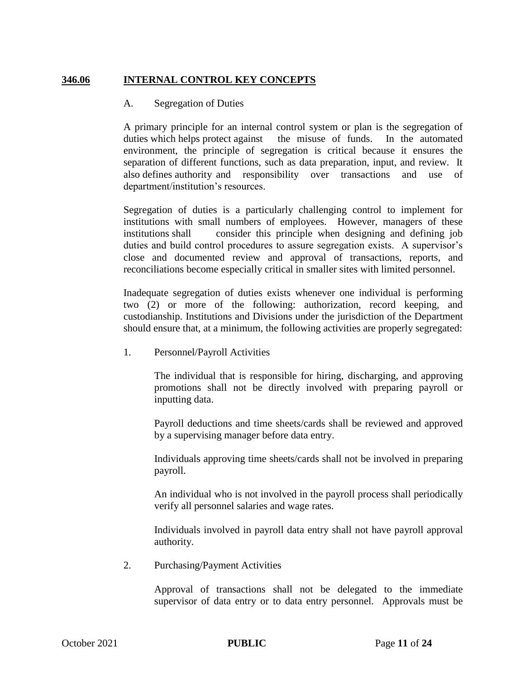# **346.06 INTERNAL CONTROL KEY CONCEPTS**

### A. Segregation of Duties

A primary principle for an internal control system or plan is the segregation of duties which helps protect against the misuse of funds. In the automated environment, the principle of segregation is critical because it ensures the separation of different functions, such as data preparation, input, and review. It also defines authority and responsibility over transactions and use of department/institution's resources.

Segregation of duties is a particularly challenging control to implement for institutions with small numbers of employees. However, managers of these institutions shall consider this principle when designing and defining job duties and build control procedures to assure segregation exists. A supervisor's close and documented review and approval of transactions, reports, and reconciliations become especially critical in smaller sites with limited personnel.

Inadequate segregation of duties exists whenever one individual is performing two (2) or more of the following: authorization, record keeping, and custodianship. Institutions and Divisions under the jurisdiction of the Department should ensure that, at a minimum, the following activities are properly segregated:

1. Personnel/Payroll Activities

The individual that is responsible for hiring, discharging, and approving promotions shall not be directly involved with preparing payroll or inputting data.

Payroll deductions and time sheets/cards shall be reviewed and approved by a supervising manager before data entry.

Individuals approving time sheets/cards shall not be involved in preparing payroll.

An individual who is not involved in the payroll process shall periodically verify all personnel salaries and wage rates.

Individuals involved in payroll data entry shall not have payroll approval authority.

2. Purchasing/Payment Activities

Approval of transactions shall not be delegated to the immediate supervisor of data entry or to data entry personnel. Approvals must be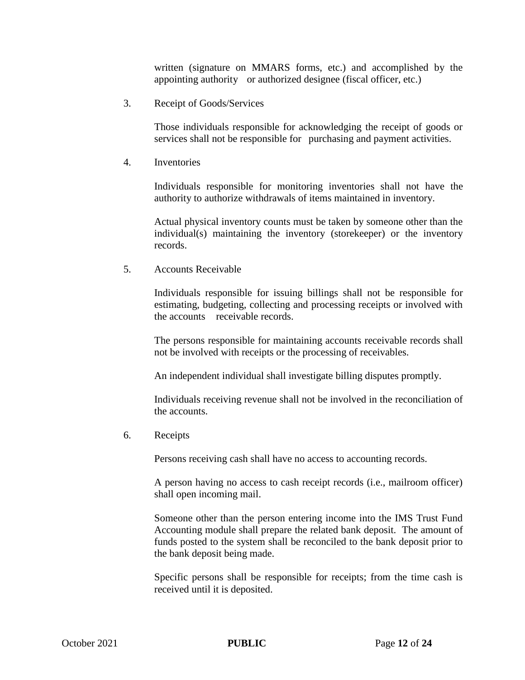written (signature on MMARS forms, etc.) and accomplished by the appointing authority or authorized designee (fiscal officer, etc.)

3. Receipt of Goods/Services

Those individuals responsible for acknowledging the receipt of goods or services shall not be responsible for purchasing and payment activities.

4. Inventories

Individuals responsible for monitoring inventories shall not have the authority to authorize withdrawals of items maintained in inventory.

Actual physical inventory counts must be taken by someone other than the individual(s) maintaining the inventory (storekeeper) or the inventory records.

5. Accounts Receivable

Individuals responsible for issuing billings shall not be responsible for estimating, budgeting, collecting and processing receipts or involved with the accounts receivable records.

The persons responsible for maintaining accounts receivable records shall not be involved with receipts or the processing of receivables.

An independent individual shall investigate billing disputes promptly.

Individuals receiving revenue shall not be involved in the reconciliation of the accounts.

6. Receipts

Persons receiving cash shall have no access to accounting records.

A person having no access to cash receipt records (i.e., mailroom officer) shall open incoming mail.

Someone other than the person entering income into the IMS Trust Fund Accounting module shall prepare the related bank deposit. The amount of funds posted to the system shall be reconciled to the bank deposit prior to the bank deposit being made.

Specific persons shall be responsible for receipts; from the time cash is received until it is deposited.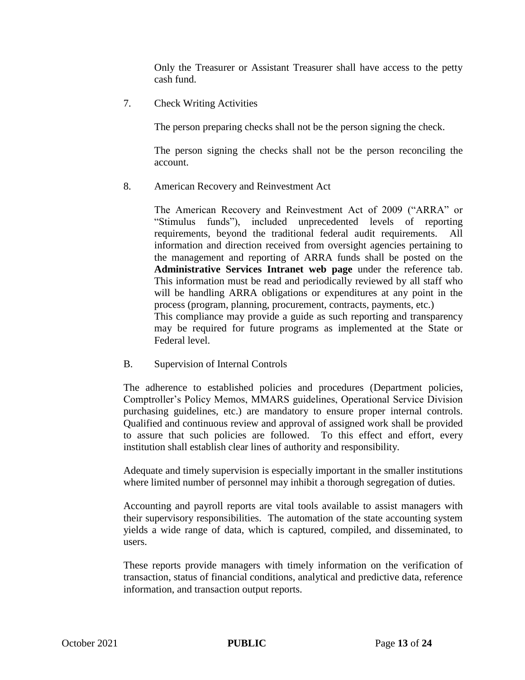Only the Treasurer or Assistant Treasurer shall have access to the petty cash fund.

7. Check Writing Activities

The person preparing checks shall not be the person signing the check.

The person signing the checks shall not be the person reconciling the account.

8. American Recovery and Reinvestment Act

The American Recovery and Reinvestment Act of 2009 ("ARRA" or "Stimulus funds"), included unprecedented levels of reporting requirements, beyond the traditional federal audit requirements. All information and direction received from oversight agencies pertaining to the management and reporting of ARRA funds shall be posted on the **Administrative Services Intranet web page** under the reference tab. This information must be read and periodically reviewed by all staff who will be handling ARRA obligations or expenditures at any point in the process (program, planning, procurement, contracts, payments, etc.) This compliance may provide a guide as such reporting and transparency may be required for future programs as implemented at the State or Federal level.

B. Supervision of Internal Controls

The adherence to established policies and procedures (Department policies, Comptroller's Policy Memos, MMARS guidelines, Operational Service Division purchasing guidelines, etc.) are mandatory to ensure proper internal controls. Qualified and continuous review and approval of assigned work shall be provided to assure that such policies are followed. To this effect and effort, every institution shall establish clear lines of authority and responsibility.

Adequate and timely supervision is especially important in the smaller institutions where limited number of personnel may inhibit a thorough segregation of duties.

Accounting and payroll reports are vital tools available to assist managers with their supervisory responsibilities. The automation of the state accounting system yields a wide range of data, which is captured, compiled, and disseminated, to users.

These reports provide managers with timely information on the verification of transaction, status of financial conditions, analytical and predictive data, reference information, and transaction output reports.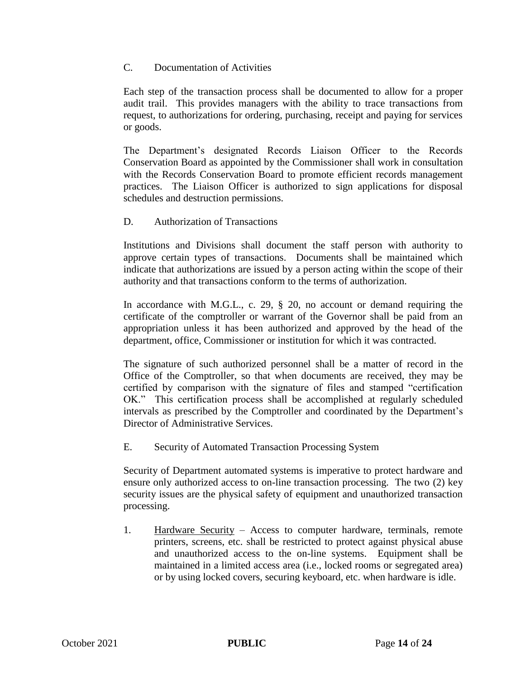#### C. Documentation of Activities

Each step of the transaction process shall be documented to allow for a proper audit trail. This provides managers with the ability to trace transactions from request, to authorizations for ordering, purchasing, receipt and paying for services or goods.

The Department's designated Records Liaison Officer to the Records Conservation Board as appointed by the Commissioner shall work in consultation with the Records Conservation Board to promote efficient records management practices. The Liaison Officer is authorized to sign applications for disposal schedules and destruction permissions.

# D. Authorization of Transactions

Institutions and Divisions shall document the staff person with authority to approve certain types of transactions. Documents shall be maintained which indicate that authorizations are issued by a person acting within the scope of their authority and that transactions conform to the terms of authorization.

In accordance with M.G.L., c. 29, § 20, no account or demand requiring the certificate of the comptroller or warrant of the Governor shall be paid from an appropriation unless it has been authorized and approved by the head of the department, office, Commissioner or institution for which it was contracted.

The signature of such authorized personnel shall be a matter of record in the Office of the Comptroller, so that when documents are received, they may be certified by comparison with the signature of files and stamped "certification OK." This certification process shall be accomplished at regularly scheduled intervals as prescribed by the Comptroller and coordinated by the Department's Director of Administrative Services.

E. Security of Automated Transaction Processing System

Security of Department automated systems is imperative to protect hardware and ensure only authorized access to on-line transaction processing. The two (2) key security issues are the physical safety of equipment and unauthorized transaction processing.

1. Hardware Security – Access to computer hardware, terminals, remote printers, screens, etc. shall be restricted to protect against physical abuse and unauthorized access to the on-line systems. Equipment shall be maintained in a limited access area (i.e., locked rooms or segregated area) or by using locked covers, securing keyboard, etc. when hardware is idle.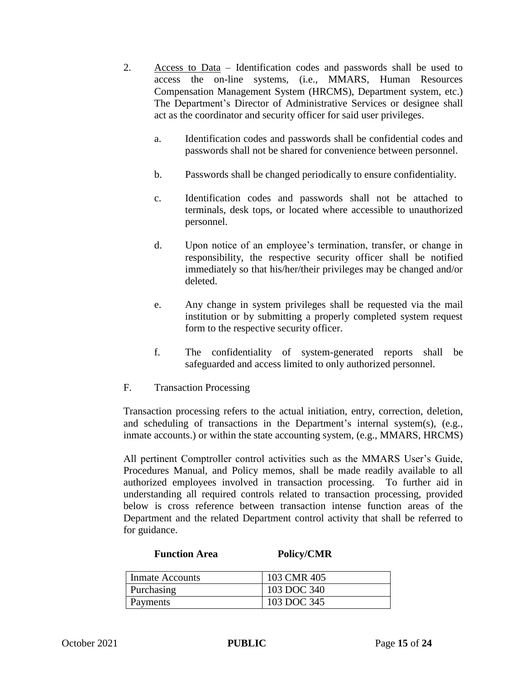- 2. Access to Data Identification codes and passwords shall be used to access the on-line systems, (i.e., MMARS, Human Resources Compensation Management System (HRCMS), Department system, etc.) The Department's Director of Administrative Services or designee shall act as the coordinator and security officer for said user privileges.
	- a. Identification codes and passwords shall be confidential codes and passwords shall not be shared for convenience between personnel.
	- b. Passwords shall be changed periodically to ensure confidentiality.
	- c. Identification codes and passwords shall not be attached to terminals, desk tops, or located where accessible to unauthorized personnel.
	- d. Upon notice of an employee's termination, transfer, or change in responsibility, the respective security officer shall be notified immediately so that his/her/their privileges may be changed and/or deleted.
	- e. Any change in system privileges shall be requested via the mail institution or by submitting a properly completed system request form to the respective security officer.
	- f. The confidentiality of system-generated reports shall be safeguarded and access limited to only authorized personnel.
- F. Transaction Processing

Transaction processing refers to the actual initiation, entry, correction, deletion, and scheduling of transactions in the Department's internal system(s), (e.g., inmate accounts.) or within the state accounting system, (e.g., MMARS, HRCMS)

All pertinent Comptroller control activities such as the MMARS User's Guide, Procedures Manual, and Policy memos, shall be made readily available to all authorized employees involved in transaction processing. To further aid in understanding all required controls related to transaction processing, provided below is cross reference between transaction intense function areas of the Department and the related Department control activity that shall be referred to for guidance.

#### **Function Area Policy/CMR**

| <b>Inmate Accounts</b> | 103 CMR 405 |
|------------------------|-------------|
| Purchasing             | 103 DOC 340 |
| Payments               | 103 DOC 345 |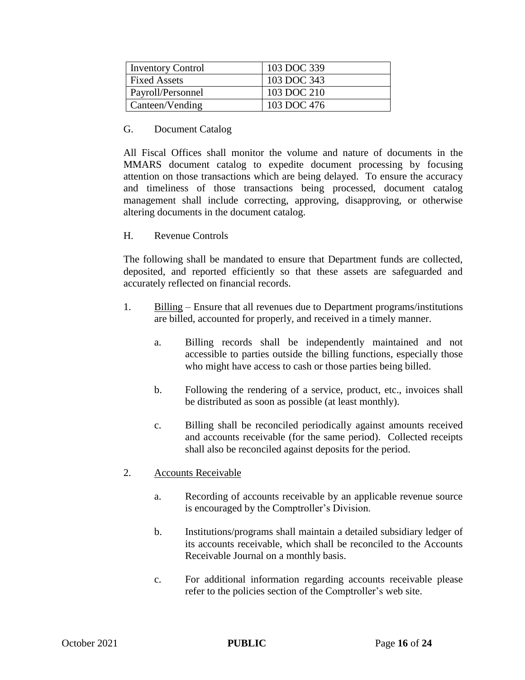| <b>Inventory Control</b> | 103 DOC 339 |
|--------------------------|-------------|
| <b>Fixed Assets</b>      | 103 DOC 343 |
| Payroll/Personnel        | 103 DOC 210 |
| Canteen/Vending          | 103 DOC 476 |

#### G. Document Catalog

All Fiscal Offices shall monitor the volume and nature of documents in the MMARS document catalog to expedite document processing by focusing attention on those transactions which are being delayed. To ensure the accuracy and timeliness of those transactions being processed, document catalog management shall include correcting, approving, disapproving, or otherwise altering documents in the document catalog.

### H. Revenue Controls

The following shall be mandated to ensure that Department funds are collected, deposited, and reported efficiently so that these assets are safeguarded and accurately reflected on financial records.

- 1. Billing Ensure that all revenues due to Department programs/institutions are billed, accounted for properly, and received in a timely manner.
	- a. Billing records shall be independently maintained and not accessible to parties outside the billing functions, especially those who might have access to cash or those parties being billed.
	- b. Following the rendering of a service, product, etc., invoices shall be distributed as soon as possible (at least monthly).
	- c. Billing shall be reconciled periodically against amounts received and accounts receivable (for the same period). Collected receipts shall also be reconciled against deposits for the period.
- 2. Accounts Receivable
	- a. Recording of accounts receivable by an applicable revenue source is encouraged by the Comptroller's Division.
	- b. Institutions/programs shall maintain a detailed subsidiary ledger of its accounts receivable, which shall be reconciled to the Accounts Receivable Journal on a monthly basis.
	- c. For additional information regarding accounts receivable please refer to the policies section of the Comptroller's web site.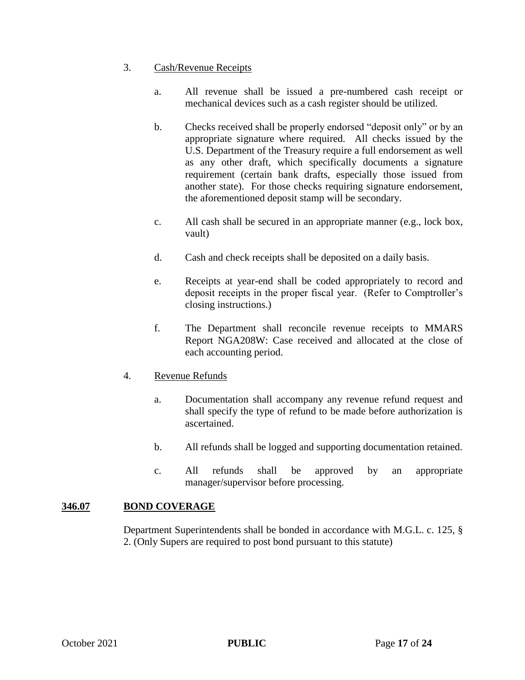### 3. Cash/Revenue Receipts

- a. All revenue shall be issued a pre-numbered cash receipt or mechanical devices such as a cash register should be utilized.
- b. Checks received shall be properly endorsed "deposit only" or by an appropriate signature where required. All checks issued by the U.S. Department of the Treasury require a full endorsement as well as any other draft, which specifically documents a signature requirement (certain bank drafts, especially those issued from another state). For those checks requiring signature endorsement, the aforementioned deposit stamp will be secondary.
- c. All cash shall be secured in an appropriate manner (e.g., lock box, vault)
- d. Cash and check receipts shall be deposited on a daily basis.
- e. Receipts at year-end shall be coded appropriately to record and deposit receipts in the proper fiscal year. (Refer to Comptroller's closing instructions.)
- f. The Department shall reconcile revenue receipts to MMARS Report NGA208W: Case received and allocated at the close of each accounting period.
- 4. Revenue Refunds
	- a. Documentation shall accompany any revenue refund request and shall specify the type of refund to be made before authorization is ascertained.
	- b. All refunds shall be logged and supporting documentation retained.
	- c. All refunds shall be approved by an appropriate manager/supervisor before processing.

# **346.07 BOND COVERAGE**

Department Superintendents shall be bonded in accordance with M.G.L. c. 125, § 2. (Only Supers are required to post bond pursuant to this statute)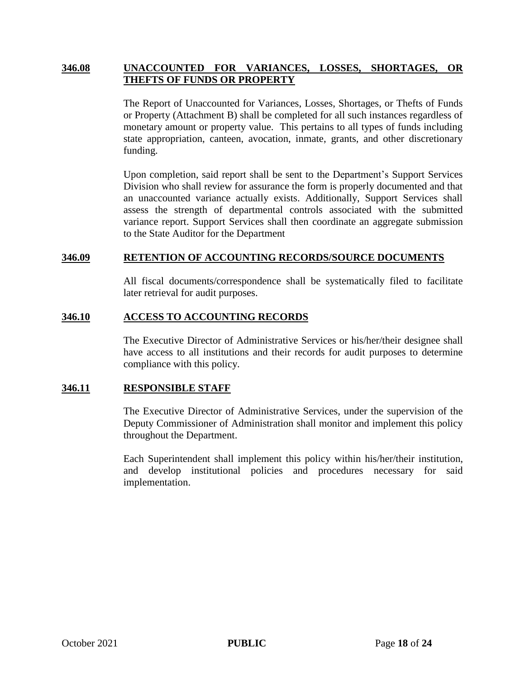#### **346.08 UNACCOUNTED FOR VARIANCES, LOSSES, SHORTAGES, OR THEFTS OF FUNDS OR PROPERTY**

The Report of Unaccounted for Variances, Losses, Shortages, or Thefts of Funds or Property (Attachment B) shall be completed for all such instances regardless of monetary amount or property value. This pertains to all types of funds including state appropriation, canteen, avocation, inmate, grants, and other discretionary funding.

Upon completion, said report shall be sent to the Department's Support Services Division who shall review for assurance the form is properly documented and that an unaccounted variance actually exists. Additionally, Support Services shall assess the strength of departmental controls associated with the submitted variance report. Support Services shall then coordinate an aggregate submission to the State Auditor for the Department

#### **346.09 RETENTION OF ACCOUNTING RECORDS/SOURCE DOCUMENTS**

All fiscal documents/correspondence shall be systematically filed to facilitate later retrieval for audit purposes.

#### **346.10 ACCESS TO ACCOUNTING RECORDS**

The Executive Director of Administrative Services or his/her/their designee shall have access to all institutions and their records for audit purposes to determine compliance with this policy.

#### **346.11 RESPONSIBLE STAFF**

The Executive Director of Administrative Services, under the supervision of the Deputy Commissioner of Administration shall monitor and implement this policy throughout the Department.

Each Superintendent shall implement this policy within his/her/their institution, and develop institutional policies and procedures necessary for said implementation.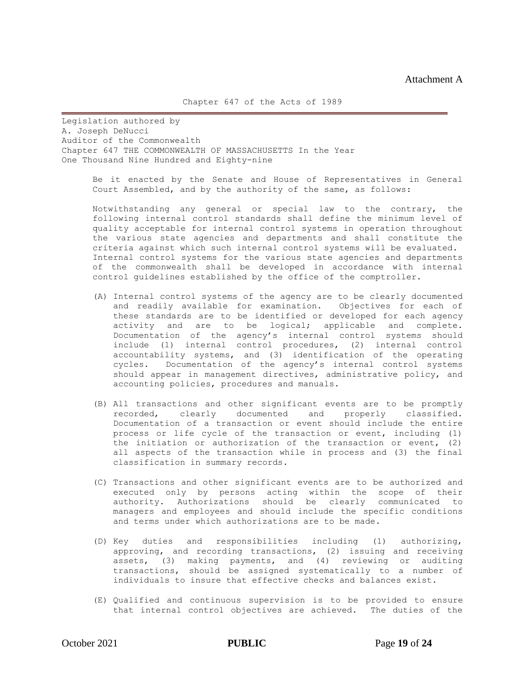Legislation authored by A. Joseph DeNucci Auditor of the Commonwealth Chapter 647 THE COMMONWEALTH OF MASSACHUSETTS In the Year One Thousand Nine Hundred and Eighty-nine

> Be it enacted by the Senate and House of Representatives in General Court Assembled, and by the authority of the same, as follows:

> Notwithstanding any general or special law to the contrary, the following internal control standards shall define the minimum level of quality acceptable for internal control systems in operation throughout the various state agencies and departments and shall constitute the criteria against which such internal control systems will be evaluated. Internal control systems for the various state agencies and departments of the commonwealth shall be developed in accordance with internal control guidelines established by the office of the comptroller.

- (A) Internal control systems of the agency are to be clearly documented and readily available for examination. Objectives for each of these standards are to be identified or developed for each agency activity and are to be logical; applicable and complete. Documentation of the agency's internal control systems should include (1) internal control procedures, (2) internal control accountability systems, and (3) identification of the operating cycles. Documentation of the agency's internal control systems should appear in management directives, administrative policy, and accounting policies, procedures and manuals.
- (B) All transactions and other significant events are to be promptly recorded, clearly documented and properly classified. Documentation of a transaction or event should include the entire process or life cycle of the transaction or event, including (1) the initiation or authorization of the transaction or event, (2) all aspects of the transaction while in process and (3) the final classification in summary records.
- (C) Transactions and other significant events are to be authorized and executed only by persons acting within the scope of their authority. Authorizations should be clearly communicated to managers and employees and should include the specific conditions and terms under which authorizations are to be made.
- (D) Key duties and responsibilities including (1) authorizing, approving, and recording transactions, (2) issuing and receiving assets, (3) making payments, and (4) reviewing or auditing transactions, should be assigned systematically to a number of individuals to insure that effective checks and balances exist.
- (E) Qualified and continuous supervision is to be provided to ensure that internal control objectives are achieved. The duties of the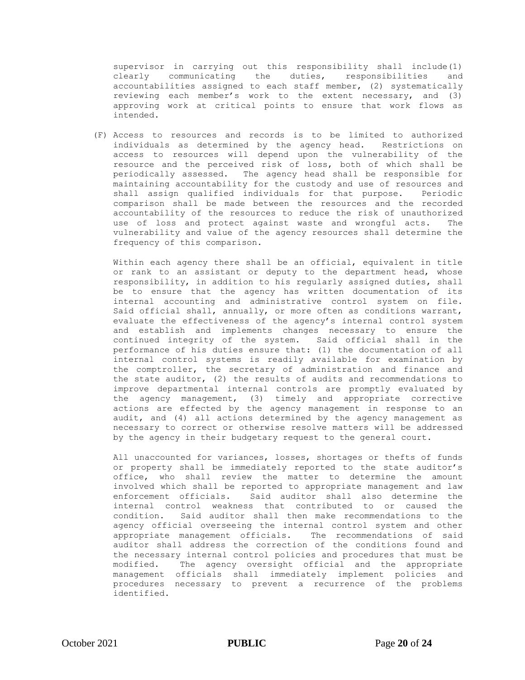supervisor in carrying out this responsibility shall include(1) clearly communicating the duties, responsibilities and accountabilities assigned to each staff member, (2) systematically reviewing each member's work to the extent necessary, and (3) approving work at critical points to ensure that work flows as intended.

(F) Access to resources and records is to be limited to authorized individuals as determined by the agency head. Restrictions on access to resources will depend upon the vulnerability of the resource and the perceived risk of loss, both of which shall be periodically assessed. The agency head shall be responsible for maintaining accountability for the custody and use of resources and shall assign qualified individuals for that purpose. Periodic comparison shall be made between the resources and the recorded accountability of the resources to reduce the risk of unauthorized use of loss and protect against waste and wrongful acts. The vulnerability and value of the agency resources shall determine the frequency of this comparison.

Within each agency there shall be an official, equivalent in title or rank to an assistant or deputy to the department head, whose responsibility, in addition to his regularly assigned duties, shall be to ensure that the agency has written documentation of its internal accounting and administrative control system on file. Said official shall, annually, or more often as conditions warrant, evaluate the effectiveness of the agency's internal control system and establish and implements changes necessary to ensure the continued integrity of the system. Said official shall in the performance of his duties ensure that: (1) the documentation of all internal control systems is readily available for examination by the comptroller, the secretary of administration and finance and the state auditor, (2) the results of audits and recommendations to improve departmental internal controls are promptly evaluated by the agency management, (3) timely and appropriate corrective actions are effected by the agency management in response to an audit, and (4) all actions determined by the agency management as necessary to correct or otherwise resolve matters will be addressed by the agency in their budgetary request to the general court.

All unaccounted for variances, losses, shortages or thefts of funds or property shall be immediately reported to the state auditor's office, who shall review the matter to determine the amount involved which shall be reported to appropriate management and law enforcement officials. Said auditor shall also determine the internal control weakness that contributed to or caused the condition. Said auditor shall then make recommendations to the agency official overseeing the internal control system and other appropriate management officials. The recommendations of said auditor shall address the correction of the conditions found and the necessary internal control policies and procedures that must be modified. The agency oversight official and the appropriate management officials shall immediately implement policies and procedures necessary to prevent a recurrence of the problems identified.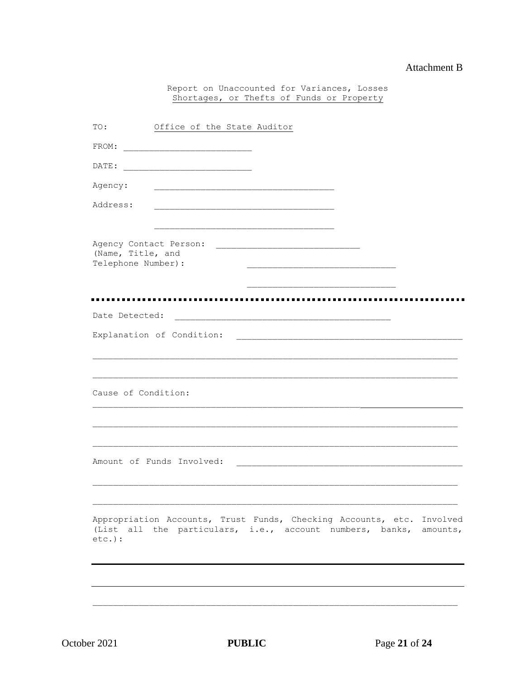#### **Attachment B**

Report on Unaccounted for Variances, Losses Shortages, or Thefts of Funds or Property

| TO:                                         | Office of the State Auditor                                                                                                                |  |  |
|---------------------------------------------|--------------------------------------------------------------------------------------------------------------------------------------------|--|--|
| FROM:                                       | <u> 1980 - Jan James James Barnett, fransk politik (d. 1980)</u>                                                                           |  |  |
| DATE:                                       | <u> 1989 - Johann John Stone, mars eta biztanleria (h. 1982).</u>                                                                          |  |  |
| Agency:                                     |                                                                                                                                            |  |  |
| Address:                                    |                                                                                                                                            |  |  |
|                                             |                                                                                                                                            |  |  |
| Agency Contact Person:<br>(Name, Title, and |                                                                                                                                            |  |  |
| Telephone Number) :                         |                                                                                                                                            |  |  |
|                                             |                                                                                                                                            |  |  |
| Date Detected:                              |                                                                                                                                            |  |  |
|                                             | Explanation of Condition:                                                                                                                  |  |  |
|                                             |                                                                                                                                            |  |  |
|                                             |                                                                                                                                            |  |  |
| Cause of Condition:                         |                                                                                                                                            |  |  |
|                                             |                                                                                                                                            |  |  |
|                                             |                                                                                                                                            |  |  |
|                                             | Amount of Funds Involved:                                                                                                                  |  |  |
|                                             |                                                                                                                                            |  |  |
|                                             |                                                                                                                                            |  |  |
| $etc.$ ):                                   | Appropriation Accounts, Trust Funds, Checking Accounts, etc. Involved<br>(List all the particulars, i.e., account numbers, banks, amounts, |  |  |
|                                             |                                                                                                                                            |  |  |
|                                             |                                                                                                                                            |  |  |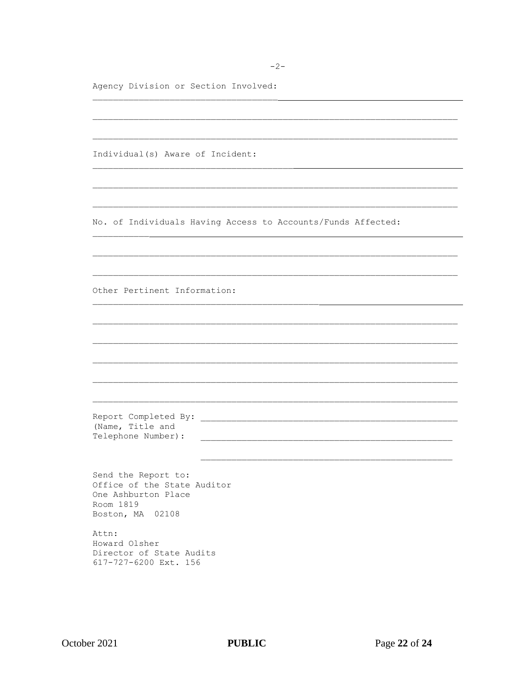$-2-$ 

Agency Division or Section Involved:

Individual(s) Aware of Incident: No. of Individuals Having Access to Accounts/Funds Affected: Other Pertinent Information: (Name, Title and Telephone Number): Send the Report to: Office of the State Auditor One Ashburton Place Room 1819 Boston, MA 02108 Attn: Howard Olsher Director of State Audits 617-727-6200 Ext. 156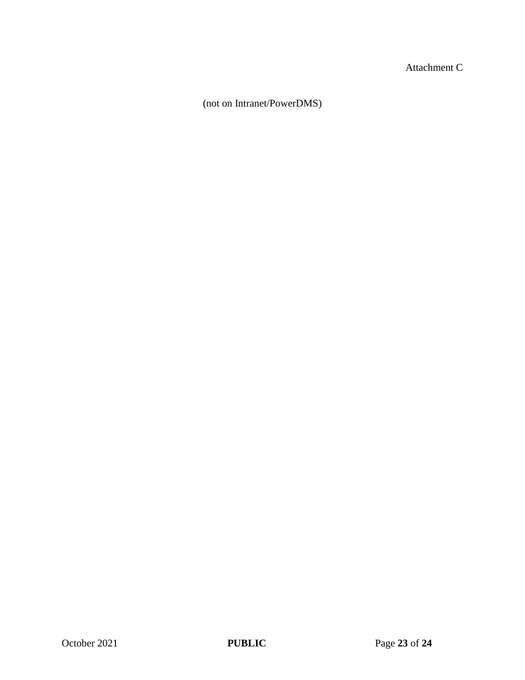Attachment C

(not on Intranet/PowerDMS)